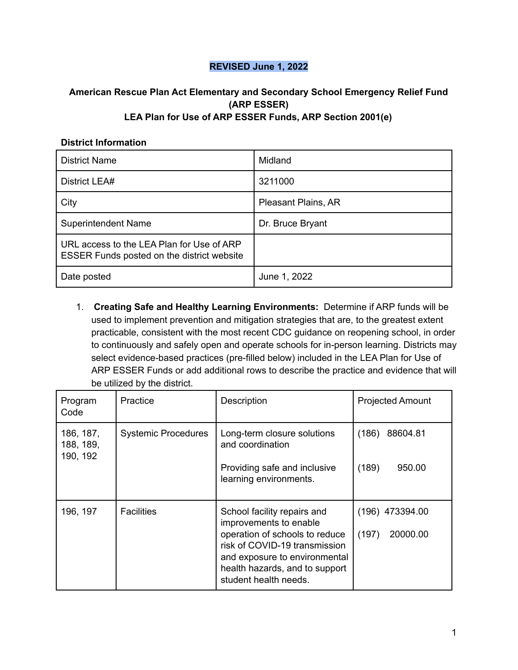## **REVISED June 1, 2022**

## **American Rescue Plan Act Elementary and Secondary School Emergency Relief Fund (ARP ESSER) LEA Plan for Use of ARP ESSER Funds, ARP Section 2001(e)**

## **District Information**

| <b>District Name</b>                                                                    | Midland             |
|-----------------------------------------------------------------------------------------|---------------------|
| District LEA#                                                                           | 3211000             |
| City                                                                                    | Pleasant Plains, AR |
| <b>Superintendent Name</b>                                                              | Dr. Bruce Bryant    |
| URL access to the LEA Plan for Use of ARP<br>ESSER Funds posted on the district website |                     |
| Date posted                                                                             | June 1, 2022        |

1. **Creating Safe and Healthy Learning Environments:** Determine if ARP funds will be used to implement prevention and mitigation strategies that are, to the greatest extent practicable, consistent with the most recent CDC guidance on reopening school, in order to continuously and safely open and operate schools for in-person learning. Districts may select evidence-based practices (pre-filled below) included in the LEA Plan for Use of ARP ESSER Funds or add additional rows to describe the practice and evidence that will be utilized by the district.

| Program<br>Code                    | Practice                   | Description                                                                                                                                                                                                          | <b>Projected Amount</b>                |
|------------------------------------|----------------------------|----------------------------------------------------------------------------------------------------------------------------------------------------------------------------------------------------------------------|----------------------------------------|
| 186, 187,<br>188, 189,<br>190, 192 | <b>Systemic Procedures</b> | Long-term closure solutions<br>and coordination<br>Providing safe and inclusive<br>learning environments.                                                                                                            | (186)<br>88604.81<br>(189)<br>950.00   |
| 196, 197                           | <b>Facilities</b>          | School facility repairs and<br>improvements to enable<br>operation of schools to reduce<br>risk of COVID-19 transmission<br>and exposure to environmental<br>health hazards, and to support<br>student health needs. | $(196)$ 473394.00<br>(197)<br>20000.00 |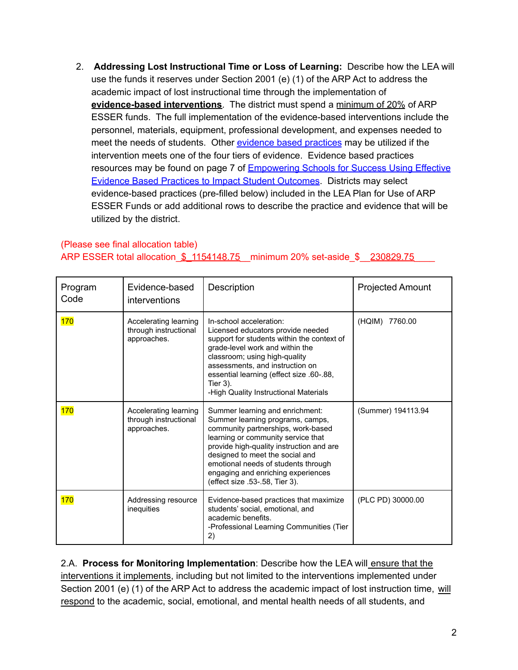2. **Addressing Lost Instructional Time or Loss of Learning:** Describe how the LEA will use the funds it reserves under Section 2001 (e) (1) of the ARP Act to address the academic impact of lost instructional time through the implementation of **evidence-based interventions**. The district must spend a minimum of 20% of ARP ESSER funds. The full implementation of the evidence-based interventions include the personnel, materials, equipment, professional development, and expenses needed to meet the needs of students. Other [evidence](https://dese.ade.arkansas.gov/Files/Using_Evidence_to_Impact_Student_Outcomes_rv_5_21_21_20210521171532.pdf) based practices may be utilized if the intervention meets one of the four tiers of evidence. Evidence based practices resources may be found on page 7 of [Empowering](https://dese.ade.arkansas.gov/Files/Using_Evidence_to_Impact_Student_Outcomes_rv_5_21_21_20210521171532.pdf) Schools for Success Using Effective Evidence Based Practices to Impact Student [Outcomes](https://dese.ade.arkansas.gov/Files/Using_Evidence_to_Impact_Student_Outcomes_rv_5_21_21_20210521171532.pdf). Districts may select evidence-based practices (pre-filled below) included in the LEA Plan for Use of ARP ESSER Funds or add additional rows to describe the practice and evidence that will be utilized by the district.

## (Please see final allocation table) ARP ESSER total allocation \$ 1154148.75 minimum 20% set-aside \$ 230829.75

| Program<br>Code | Evidence-based<br>interventions                               | Description                                                                                                                                                                                                                                                                                                                                   | <b>Projected Amount</b> |
|-----------------|---------------------------------------------------------------|-----------------------------------------------------------------------------------------------------------------------------------------------------------------------------------------------------------------------------------------------------------------------------------------------------------------------------------------------|-------------------------|
| <b>170</b>      | Accelerating learning<br>through instructional<br>approaches. | In-school acceleration:<br>Licensed educators provide needed<br>support for students within the context of<br>grade-level work and within the<br>classroom; using high-quality<br>assessments, and instruction on<br>essential learning (effect size .60-.88,<br>Tier 3).<br>-High Quality Instructional Materials                            | (HQIM) 7760.00          |
| <b>170</b>      | Accelerating learning<br>through instructional<br>approaches. | Summer learning and enrichment:<br>Summer learning programs, camps,<br>community partnerships, work-based<br>learning or community service that<br>provide high-quality instruction and are<br>designed to meet the social and<br>emotional needs of students through<br>engaging and enriching experiences<br>(effect size .53-.58, Tier 3). | (Summer) 194113.94      |
| 170             | Addressing resource<br>inequities                             | Evidence-based practices that maximize<br>students' social, emotional, and<br>academic benefits.<br>-Professional Learning Communities (Tier<br>2)                                                                                                                                                                                            | (PLC PD) 30000.00       |

2.A. **Process for Monitoring Implementation**: Describe how the LEA will ensure that the interventions it implements, including but not limited to the interventions implemented under Section 2001 (e) (1) of the ARP Act to address the academic impact of lost instruction time, will respond to the academic, social, emotional, and mental health needs of all students, and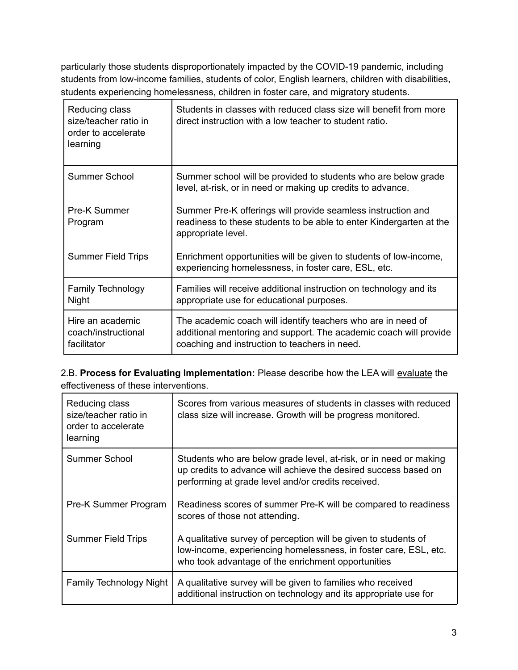particularly those students disproportionately impacted by the COVID-19 pandemic, including students from low-income families, students of color, English learners, children with disabilities, students experiencing homelessness, children in foster care, and migratory students.

| Reducing class<br>size/teacher ratio in<br>order to accelerate<br>learning | Students in classes with reduced class size will benefit from more<br>direct instruction with a low teacher to student ratio.                                                      |
|----------------------------------------------------------------------------|------------------------------------------------------------------------------------------------------------------------------------------------------------------------------------|
| <b>Summer School</b>                                                       | Summer school will be provided to students who are below grade<br>level, at-risk, or in need or making up credits to advance.                                                      |
| Pre-K Summer<br>Program                                                    | Summer Pre-K offerings will provide seamless instruction and<br>readiness to these students to be able to enter Kindergarten at the<br>appropriate level.                          |
| <b>Summer Field Trips</b>                                                  | Enrichment opportunities will be given to students of low-income,<br>experiencing homelessness, in foster care, ESL, etc.                                                          |
| <b>Family Technology</b><br><b>Night</b>                                   | Families will receive additional instruction on technology and its<br>appropriate use for educational purposes.                                                                    |
| Hire an academic<br>coach/instructional<br>facilitator                     | The academic coach will identify teachers who are in need of<br>additional mentoring and support. The academic coach will provide<br>coaching and instruction to teachers in need. |

2.B. **Process for Evaluating Implementation:** Please describe how the LEA will evaluate the effectiveness of these interventions.

| Reducing class<br>size/teacher ratio in<br>order to accelerate<br>learning | Scores from various measures of students in classes with reduced<br>class size will increase. Growth will be progress monitored.                                                           |
|----------------------------------------------------------------------------|--------------------------------------------------------------------------------------------------------------------------------------------------------------------------------------------|
| Summer School                                                              | Students who are below grade level, at-risk, or in need or making<br>up credits to advance will achieve the desired success based on<br>performing at grade level and/or credits received. |
| Pre-K Summer Program                                                       | Readiness scores of summer Pre-K will be compared to readiness<br>scores of those not attending.                                                                                           |
| <b>Summer Field Trips</b>                                                  | A qualitative survey of perception will be given to students of<br>low-income, experiencing homelessness, in foster care, ESL, etc.<br>who took advantage of the enrichment opportunities  |
| <b>Family Technology Night</b>                                             | A qualitative survey will be given to families who received<br>additional instruction on technology and its appropriate use for                                                            |